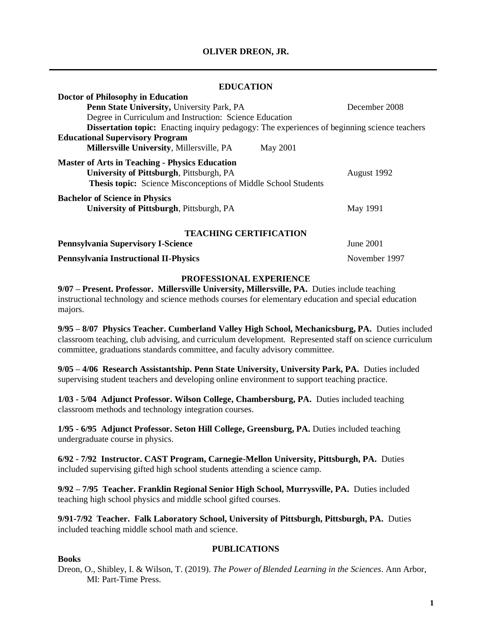# **OLIVER DREON, JR.**

### **EDUCATION**

| <b>Doctor of Philosophy in Education</b>                                                            |               |
|-----------------------------------------------------------------------------------------------------|---------------|
| Penn State University, University Park, PA                                                          | December 2008 |
| Degree in Curriculum and Instruction: Science Education                                             |               |
| <b>Dissertation topic:</b> Enacting inquiry pedagogy: The experiences of beginning science teachers |               |
| <b>Educational Supervisory Program</b>                                                              |               |
| <b>Millersville University, Millersville, PA</b><br><b>May 2001</b>                                 |               |
| <b>Master of Arts in Teaching - Physics Education</b>                                               |               |
| University of Pittsburgh, Pittsburgh, PA                                                            | August 1992   |
| Thesis topic: Science Misconceptions of Middle School Students                                      |               |
| <b>Bachelor of Science in Physics</b>                                                               |               |
| University of Pittsburgh, Pittsburgh, PA                                                            | May 1991      |
| <b>TEACHING CERTIFICATION</b>                                                                       |               |
| <b>Pennsylvania Supervisory I-Science</b>                                                           | June 2001     |

**Pennsylvania Instructional II-Physics** November 1997

### **PROFESSIONAL EXPERIENCE**

**9/07 – Present. Professor. Millersville University, Millersville, PA.** Duties include teaching instructional technology and science methods courses for elementary education and special education majors.

**9/95 – 8/07 Physics Teacher. Cumberland Valley High School, Mechanicsburg, PA.** Duties included classroom teaching, club advising, and curriculum development. Represented staff on science curriculum committee, graduations standards committee, and faculty advisory committee.

**9/05 – 4/06 Research Assistantship. Penn State University, University Park, PA.** Duties included supervising student teachers and developing online environment to support teaching practice.

**1/03 - 5/04 Adjunct Professor. Wilson College, Chambersburg, PA.** Duties included teaching classroom methods and technology integration courses.

**1/95 - 6/95 Adjunct Professor. Seton Hill College, Greensburg, PA.** Duties included teaching undergraduate course in physics.

**6/92 - 7/92 Instructor. CAST Program, Carnegie-Mellon University, Pittsburgh, PA.** Duties included supervising gifted high school students attending a science camp.

**9/92 – 7/95 Teacher. Franklin Regional Senior High School, Murrysville, PA.** Duties included teaching high school physics and middle school gifted courses.

**9/91-7/92 Teacher. Falk Laboratory School, University of Pittsburgh, Pittsburgh, PA.** Duties included teaching middle school math and science.

### **PUBLICATIONS**

# **Books**

Dreon, O., Shibley, I. & Wilson, T. (2019). *The Power of Blended Learning in the Sciences*. Ann Arbor, MI: Part-Time Press.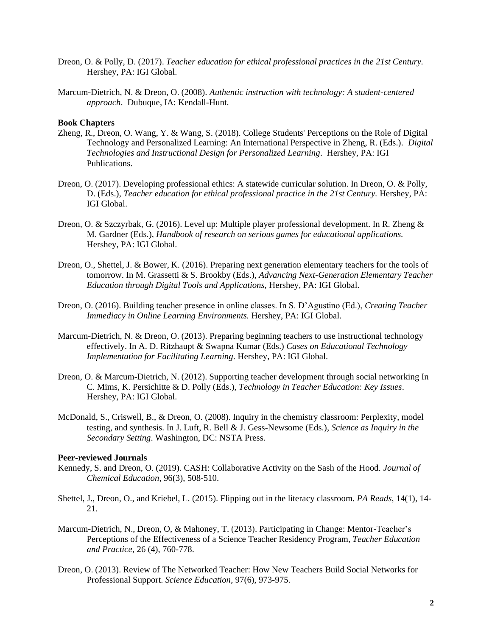- Dreon, O. & Polly, D. (2017). *Teacher education for ethical professional practices in the 21st Century.*  Hershey, PA: IGI Global.
- Marcum-Dietrich, N. & Dreon, O. (2008). *Authentic instruction with technology: A student-centered approach*. Dubuque, IA: Kendall-Hunt.

#### **Book Chapters**

- Zheng, R., Dreon, O. Wang, Y. & Wang, S. (2018). College Students' Perceptions on the Role of Digital Technology and Personalized Learning: An International Perspective in Zheng, R. (Eds.). *Digital Technologies and Instructional Design for Personalized Learning*. Hershey, PA: IGI Publications.
- Dreon, O. (2017). Developing professional ethics: A statewide curricular solution. In Dreon, O. & Polly, D. (Eds.), *Teacher education for ethical professional practice in the 21st Century*. Hershey, PA: IGI Global.
- Dreon, O. & Szczyrbak, G. (2016). Level up: Multiple player professional development. In R. Zheng & M. Gardner (Eds.), *Handbook of research on serious games for educational applications.*  Hershey, PA: IGI Global.
- Dreon, O., Shettel, J. & Bower, K. (2016). Preparing next generation elementary teachers for the tools of tomorrow. In M. Grassetti & S. Brookby (Eds.), *Advancing Next-Generation Elementary Teacher Education through Digital Tools and Applications,* Hershey, PA: IGI Global.
- Dreon, O. (2016). Building teacher presence in online classes. In S. D'Agustino (Ed.), *Creating Teacher Immediacy in Online Learning Environments.* Hershey, PA: IGI Global.
- Marcum-Dietrich, N. & Dreon, O. (2013). Preparing beginning teachers to use instructional technology effectively. In A. D. Ritzhaupt & Swapna Kumar (Eds.) *Cases on Educational Technology Implementation for Facilitating Learning*. Hershey, PA: IGI Global.
- Dreon, O. & Marcum-Dietrich, N. (2012). Supporting teacher development through social networking In C. Mims, K. Persichitte & D. Polly (Eds.), *Technology in Teacher Education: Key Issues*. Hershey, PA: IGI Global.
- McDonald, S., Criswell, B., & Dreon, O. (2008). Inquiry in the chemistry classroom: Perplexity, model testing, and synthesis. In J. Luft, R. Bell & J. Gess-Newsome (Eds.), *Science as Inquiry in the Secondary Setting*. Washington, DC: NSTA Press.

#### **Peer-reviewed Journals**

- Kennedy, S. and Dreon, O. (2019). CASH: Collaborative Activity on the Sash of the Hood. *Journal of Chemical Education*, 96(3), 508-510.
- Shettel, J., Dreon, O., and Kriebel, L. (2015). Flipping out in the literacy classroom. *PA Reads*, 14(1), 14- 21.
- Marcum-Dietrich, N., Dreon, O, & Mahoney, T. (2013). Participating in Change: Mentor-Teacher's Perceptions of the Effectiveness of a Science Teacher Residency Program, *Teacher Education and Practice*, 26 (4), 760-778.
- Dreon, O. (2013). Review of The Networked Teacher: How New Teachers Build Social Networks for Professional Support. *Science Education*, 97(6), 973-975.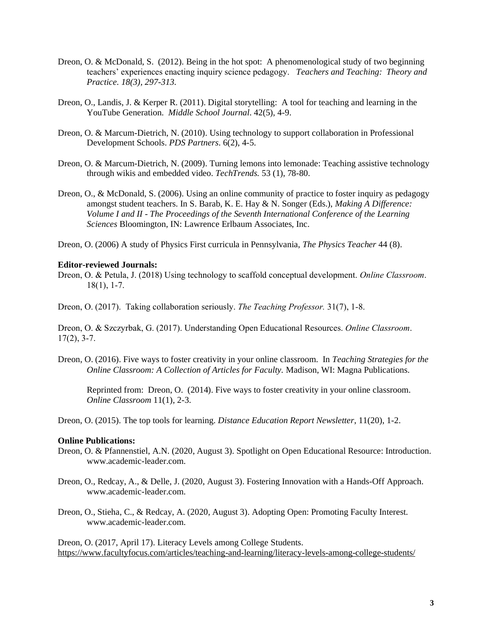- Dreon, O. & McDonald, S. (2012). Being in the hot spot: A phenomenological study of two beginning teachers' experiences enacting inquiry science pedagogy. *Teachers and Teaching: Theory and Practice. 18(3), 297-313.*
- Dreon, O., Landis, J. & Kerper R. (2011). Digital storytelling: A tool for teaching and learning in the YouTube Generation. *Middle School Journal*. 42(5), 4-9.
- Dreon, O. & Marcum-Dietrich, N. (2010). Using technology to support collaboration in Professional Development Schools. *PDS Partners*. 6(2), 4-5.
- Dreon, O. & Marcum-Dietrich, N. (2009). Turning lemons into lemonade: Teaching assistive technology through wikis and embedded video. *TechTrends.* 53 (1), 78-80.
- Dreon, O., & McDonald, S. (2006). Using an online community of practice to foster inquiry as pedagogy amongst student teachers. In S. Barab, K. E. Hay & N. Songer (Eds.), *Making A Difference: Volume I and II - The Proceedings of the Seventh International Conference of the Learning Sciences* Bloomington, IN: Lawrence Erlbaum Associates, Inc.
- Dreon, O. (2006) A study of Physics First curricula in Pennsylvania, *The Physics Teacher* 44 (8).

#### **Editor-reviewed Journals:**

Dreon, O. & Petula, J. (2018) Using technology to scaffold conceptual development. *Online Classroom*. 18(1), 1-7.

Dreon, O. (2017). Taking collaboration seriously. *The Teaching Professor.* 31(7), 1-8.

Dreon, O. & Szczyrbak, G. (2017). Understanding Open Educational Resources. *Online Classroom*.  $17(2)$ , 3-7.

Dreon, O. (2016). Five ways to foster creativity in your online classroom. In *Teaching Strategies for the Online Classroom: A Collection of Articles for Faculty.* Madison, WI: Magna Publications.

Reprinted from: Dreon, O. (2014). Five ways to foster creativity in your online classroom. *Online Classroom* 11(1), 2-3.

Dreon, O. (2015). The top tools for learning. *Distance Education Report Newsletter*, 11(20), 1-2.

#### **Online Publications:**

- Dreon, O. & Pfannenstiel, A.N. (2020, August 3). Spotlight on Open Educational Resource: Introduction. www.academic-leader.com.
- Dreon, O., Redcay, A., & Delle, J. (2020, August 3). Fostering Innovation with a Hands-Off Approach. www.academic-leader.com.
- Dreon, O., Stieha, C., & Redcay, A. (2020, August 3). Adopting Open: Promoting Faculty Interest. www.academic-leader.com.

Dreon, O. (2017, April 17). Literacy Levels among College Students. <https://www.facultyfocus.com/articles/teaching-and-learning/literacy-levels-among-college-students/>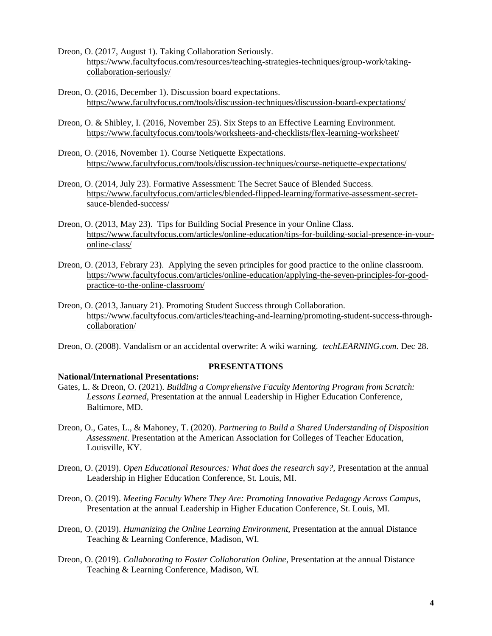- Dreon, O. (2017, August 1). Taking Collaboration Seriously. [https://www.facultyfocus.com/resources/teaching-strategies-techniques/group-work/taking](https://www.facultyfocus.com/resources/teaching-strategies-techniques/group-work/taking-collaboration-seriously/)[collaboration-seriously/](https://www.facultyfocus.com/resources/teaching-strategies-techniques/group-work/taking-collaboration-seriously/)
- Dreon, O. (2016, December 1). Discussion board expectations. <https://www.facultyfocus.com/tools/discussion-techniques/discussion-board-expectations/>
- Dreon, O. & Shibley, I. (2016, November 25). Six Steps to an Effective Learning Environment. <https://www.facultyfocus.com/tools/worksheets-and-checklists/flex-learning-worksheet/>
- Dreon, O. (2016, November 1). Course Netiquette Expectations. <https://www.facultyfocus.com/tools/discussion-techniques/course-netiquette-expectations/>
- Dreon, O. (2014, July 23). Formative Assessment: The Secret Sauce of Blended Success. [https://www.facultyfocus.com/articles/blended-flipped-learning/formative-assessment-secret](https://www.facultyfocus.com/articles/blended-flipped-learning/formative-assessment-secret-sauce-blended-success/)[sauce-blended-success/](https://www.facultyfocus.com/articles/blended-flipped-learning/formative-assessment-secret-sauce-blended-success/)
- Dreon, O. (2013, May 23). Tips for Building Social Presence in your Online Class. [https://www.facultyfocus.com/articles/online-education/tips-for-building-social-presence-in-your](https://www.facultyfocus.com/articles/online-education/tips-for-building-social-presence-in-your-online-class/)[online-class/](https://www.facultyfocus.com/articles/online-education/tips-for-building-social-presence-in-your-online-class/)
- Dreon, O. (2013, Febrary 23). Applying the seven principles for good practice to the online classroom. [https://www.facultyfocus.com/articles/online-education/applying-the-seven-principles-for-good](https://www.facultyfocus.com/articles/online-education/applying-the-seven-principles-for-good-practice-to-the-online-classroom/)[practice-to-the-online-classroom/](https://www.facultyfocus.com/articles/online-education/applying-the-seven-principles-for-good-practice-to-the-online-classroom/)
- Dreon, O. (2013, January 21). Promoting Student Success through Collaboration. [https://www.facultyfocus.com/articles/teaching-and-learning/promoting-student-success-through](https://www.facultyfocus.com/articles/teaching-and-learning/promoting-student-success-through-collaboration/)[collaboration/](https://www.facultyfocus.com/articles/teaching-and-learning/promoting-student-success-through-collaboration/)
- Dreon, O. (2008). Vandalism or an accidental overwrite: A wiki warning. *techLEARNING.com.* Dec 28.

# **PRESENTATIONS**

# **National/International Presentations:**

- Gates, L. & Dreon, O. (2021). *Building a Comprehensive Faculty Mentoring Program from Scratch: Lessons Learned*, Presentation at the annual Leadership in Higher Education Conference, Baltimore, MD.
- Dreon, O., Gates, L., & Mahoney, T. (2020). *Partnering to Build a Shared Understanding of Disposition Assessment*. Presentation at the American Association for Colleges of Teacher Education, Louisville, KY.
- Dreon, O. (2019). *Open Educational Resources: What does the research say?,* Presentation at the annual Leadership in Higher Education Conference, St. Louis, MI.
- Dreon, O. (2019). *Meeting Faculty Where They Are: Promoting Innovative Pedagogy Across Campus*, Presentation at the annual Leadership in Higher Education Conference, St. Louis, MI.
- Dreon, O. (2019). *Humanizing the Online Learning Environment,* Presentation at the annual Distance Teaching & Learning Conference, Madison, WI.
- Dreon, O. (2019). *Collaborating to Foster Collaboration Online*, Presentation at the annual Distance Teaching & Learning Conference, Madison, WI.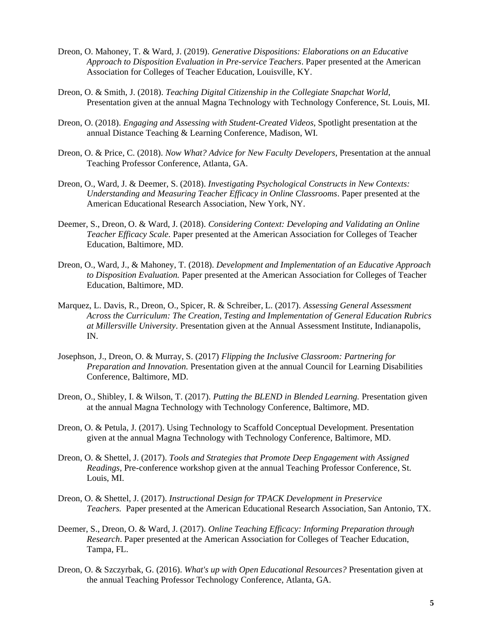- Dreon, O. Mahoney, T. & Ward, J. (2019). *Generative Dispositions: Elaborations on an Educative Approach to Disposition Evaluation in Pre-service Teachers*. Paper presented at the American Association for Colleges of Teacher Education, Louisville, KY.
- Dreon, O. & Smith, J. (2018). *Teaching Digital Citizenship in the Collegiate Snapchat World,* Presentation given at the annual Magna Technology with Technology Conference, St. Louis, MI.
- Dreon, O. (2018). *Engaging and Assessing with Student-Created Videos*, Spotlight presentation at the annual Distance Teaching & Learning Conference, Madison, WI.
- Dreon, O. & Price, C. (2018). *Now What? Advice for New Faculty Developers*, Presentation at the annual Teaching Professor Conference, Atlanta, GA.
- Dreon, O., Ward, J. & Deemer, S. (2018). *Investigating Psychological Constructs in New Contexts: Understanding and Measuring Teacher Efficacy in Online Classrooms*. Paper presented at the American Educational Research Association, New York, NY.
- Deemer, S., Dreon, O. & Ward, J. (2018). *Considering Context: Developing and Validating an Online Teacher Efficacy Scale.* Paper presented at the American Association for Colleges of Teacher Education, Baltimore, MD.
- Dreon, O., Ward, J., & Mahoney, T. (2018). *Development and Implementation of an Educative Approach to Disposition Evaluation.* Paper presented at the American Association for Colleges of Teacher Education, Baltimore, MD.
- Marquez, L. Davis, R., Dreon, O., Spicer, R. & Schreiber, L. (2017). *Assessing General Assessment Across the Curriculum: The Creation, Testing and Implementation of General Education Rubrics at Millersville University*. Presentation given at the Annual Assessment Institute, Indianapolis, IN.
- Josephson, J., Dreon, O. & Murray, S. (2017) *Flipping the Inclusive Classroom: Partnering for Preparation and Innovation.* Presentation given at the annual Council for Learning Disabilities Conference, Baltimore, MD.
- Dreon, O., Shibley, I. & Wilson, T. (2017). *Putting the BLEND in Blended Learning.* Presentation given at the annual Magna Technology with Technology Conference, Baltimore, MD.
- Dreon, O. & Petula, J. (2017). Using Technology to Scaffold Conceptual Development. Presentation given at the annual Magna Technology with Technology Conference, Baltimore, MD.
- Dreon, O. & Shettel, J. (2017). *Tools and Strategies that Promote Deep Engagement with Assigned Readings,* Pre-conference workshop given at the annual Teaching Professor Conference, St. Louis, MI.
- Dreon, O. & Shettel, J. (2017). *Instructional Design for TPACK Development in Preservice Teachers.* Paper presented at the American Educational Research Association, San Antonio, TX.
- Deemer, S., Dreon, O. & Ward, J. (2017). *Online Teaching Efficacy: Informing Preparation through Research*. Paper presented at the American Association for Colleges of Teacher Education, Tampa, FL.
- Dreon, O. & Szczyrbak, G. (2016). *What's up with Open Educational Resources?* Presentation given at the annual Teaching Professor Technology Conference, Atlanta, GA.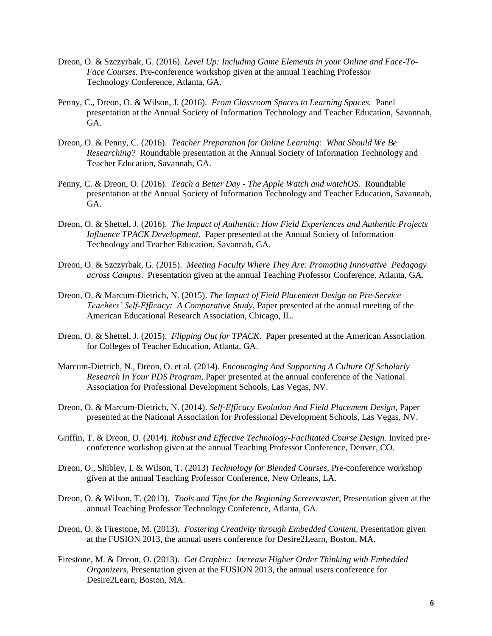- Dreon, O. & Szczyrbak, G. (2016). *Level Up: Including Game Elements in your Online and Face-To-Face Courses.* Pre-conference workshop given at the annual Teaching Professor Technology Conference, Atlanta, GA.
- Penny, C., Dreon, O. & Wilson, J. (2016). *From Classroom Spaces to Learning Spaces.* Panel presentation at the Annual Society of Information Technology and Teacher Education, Savannah, GA.
- Dreon, O. & Penny, C. (2016). *Teacher Preparation for Online Learning: What Should We Be Researching?* Roundtable presentation at the Annual Society of Information Technology and Teacher Education, Savannah, GA.
- Penny, C. & Dreon, O. (2016). *Teach a Better Day - The Apple Watch and watchOS*. Roundtable presentation at the Annual Society of Information Technology and Teacher Education, Savannah, GA.
- Dreon, O. & Shettel, J. (2016). *The Impact of Authentic: How Field Experiences and Authentic Projects Influence TPACK Development*. Paper presented at the Annual Society of Information Technology and Teacher Education, Savannah, GA.
- Dreon, O. & Szczyrbak, G. (2015). *Meeting Faculty Where They Are: Promoting Innovative Pedagogy across Campus*. Presentation given at the annual Teaching Professor Conference, Atlanta, GA.
- Dreon, O. & Marcum-Dietrich, N. (2015). *The Impact of Field Placement Design on Pre-Service Teachers' Self-Efficacy: A Comparative Study*, Paper presented at the annual meeting of the American Educational Research Association, Chicago, IL.
- Dreon, O. & Shettel, J. (2015). *Flipping Out for TPACK*. Paper presented at the American Association for Colleges of Teacher Education, Atlanta, GA.
- Marcum-Dietrich, N., Dreon, O. et al. (2014). *Encouraging And Supporting A Culture Of Scholarly Research In Your PDS Program*, Paper presented at the annual conference of the National Association for Professional Development Schools, Las Vegas, NV.
- Dreon, O. & Marcum-Dietrich, N. (2014). *Self-Efficacy Evolution And Field Placement Design,* Paper presented at the National Association for Professional Development Schools, Las Vegas, NV.
- Griffin, T. & Dreon, O. (2014). *Robust and Effective Technology-Facilitated Course Design*. Invited preconference workshop given at the annual Teaching Professor Conference, Denver, CO.
- Dreon, O., Shibley, I. & Wilson, T. (2013) *Technology for Blended Courses*, Pre-conference workshop given at the annual Teaching Professor Conference, New Orleans, LA.
- Dreon, O. & Wilson, T. (2013). *Tools and Tips for the Beginning Screencaster*, Presentation given at the annual Teaching Professor Technology Conference, Atlanta, GA.
- Dreon, O. & Firestone, M. (2013). *Fostering Creativity through Embedded Content*, Presentation given at the FUSION 2013, the annual users conference for Desire2Learn, Boston, MA.
- Firestone, M. & Dreon, O. (2013). *Get Graphic: Increase Higher Order Thinking with Embedded Organizers*, Presentation given at the FUSION 2013, the annual users conference for Desire2Learn, Boston, MA.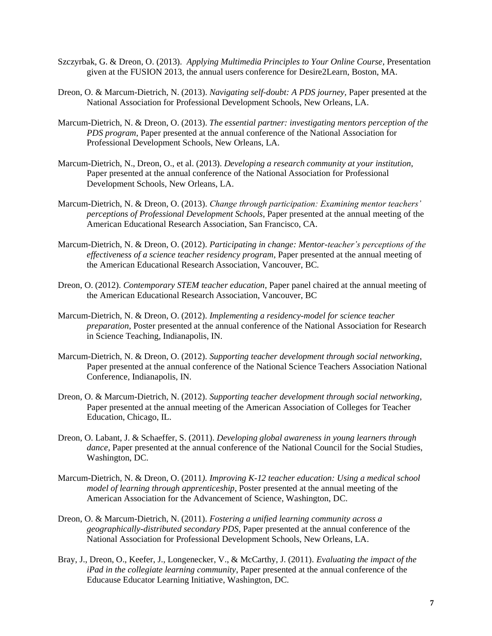- Szczyrbak, G. & Dreon, O. (2013). *Applying Multimedia Principles to Your Online Course*, Presentation given at the FUSION 2013, the annual users conference for Desire2Learn, Boston, MA.
- Dreon, O. & Marcum-Dietrich, N. (2013). *Navigating self-doubt: A PDS journey,* Paper presented at the National Association for Professional Development Schools, New Orleans, LA.
- Marcum-Dietrich, N. & Dreon, O. (2013). *The essential partner: investigating mentors perception of the PDS program*, Paper presented at the annual conference of the National Association for Professional Development Schools, New Orleans, LA.
- Marcum-Dietrich, N., Dreon, O., et al. (2013). *Developing a research community at your institution*, Paper presented at the annual conference of the National Association for Professional Development Schools, New Orleans, LA.
- Marcum-Dietrich, N. & Dreon, O. (2013). *Change through participation: Examining mentor teachers' perceptions of Professional Development Schools*, Paper presented at the annual meeting of the American Educational Research Association, San Francisco, CA.
- Marcum-Dietrich, N. & Dreon, O. (2012). *Participating in change: Mentor-teacher's perceptions of the effectiveness of a science teacher residency program*, Paper presented at the annual meeting of the American Educational Research Association, Vancouver, BC.
- Dreon, O. (2012). *Contemporary STEM teacher education*, Paper panel chaired at the annual meeting of the American Educational Research Association, Vancouver, BC
- Marcum-Dietrich, N. & Dreon, O. (2012). *Implementing a residency-model for science teacher preparation*, Poster presented at the annual conference of the National Association for Research in Science Teaching, Indianapolis, IN.
- Marcum-Dietrich, N. & Dreon, O. (2012). *Supporting teacher development through social networking*, Paper presented at the annual conference of the National Science Teachers Association National Conference, Indianapolis, IN.
- Dreon, O. & Marcum-Dietrich, N. (2012). *Supporting teacher development through social networking*, Paper presented at the annual meeting of the American Association of Colleges for Teacher Education, Chicago, IL.
- Dreon, O. Labant, J. & Schaeffer, S. (2011). *Developing global awareness in young learners through dance*, Paper presented at the annual conference of the National Council for the Social Studies, Washington, DC.
- Marcum-Dietrich, N. & Dreon, O. (2011*). Improving K-12 teacher education: Using a medical school model of learning through apprenticeship*, Poster presented at the annual meeting of the American Association for the Advancement of Science, Washington, DC.
- Dreon, O. & Marcum-Dietrich, N. (2011). *Fostering a unified learning community across a geographically-distributed secondary PDS*, Paper presented at the annual conference of the National Association for Professional Development Schools, New Orleans, LA.
- Bray, J., Dreon, O., Keefer, J., Longenecker, V., & McCarthy, J. (2011). *Evaluating the impact of the iPad in the collegiate learning community*, Paper presented at the annual conference of the Educause Educator Learning Initiative, Washington, DC.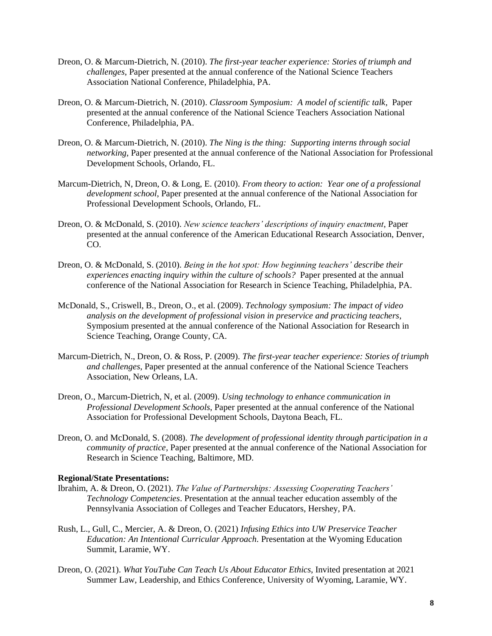- Dreon, O. & Marcum-Dietrich, N. (2010). *The first-year teacher experience: Stories of triumph and challenges*, Paper presented at the annual conference of the National Science Teachers Association National Conference, Philadelphia, PA.
- Dreon, O. & Marcum-Dietrich, N. (2010). *Classroom Symposium: A model of scientific talk*, Paper presented at the annual conference of the National Science Teachers Association National Conference, Philadelphia, PA.
- Dreon, O. & Marcum-Dietrich, N. (2010). *The Ning is the thing: Supporting interns through social networking*, Paper presented at the annual conference of the National Association for Professional Development Schools, Orlando, FL.
- Marcum-Dietrich, N, Dreon, O. & Long, E. (2010). *From theory to action: Year one of a professional development school*, Paper presented at the annual conference of the National Association for Professional Development Schools, Orlando, FL.
- Dreon, O. & McDonald, S. (2010). *New science teachers' descriptions of inquiry enactment*, Paper presented at the annual conference of the American Educational Research Association, Denver, CO.
- Dreon, O. & McDonald, S. (2010). *Being in the hot spot: How beginning teachers' describe their experiences enacting inquiry within the culture of schools?* Paper presented at the annual conference of the National Association for Research in Science Teaching, Philadelphia, PA.
- McDonald, S., Criswell, B., Dreon, O., et al. (2009). *Technology symposium: The impact of video analysis on the development of professional vision in preservice and practicing teachers*, Symposium presented at the annual conference of the National Association for Research in Science Teaching, Orange County, CA.
- Marcum-Dietrich, N., Dreon, O. & Ross, P. (2009). *The first-year teacher experience: Stories of triumph and challenges*, Paper presented at the annual conference of the National Science Teachers Association, New Orleans, LA.
- Dreon, O., Marcum-Dietrich, N, et al. (2009). *Using technology to enhance communication in Professional Development Schools*, Paper presented at the annual conference of the National Association for Professional Development Schools, Daytona Beach, FL.
- Dreon, O. and McDonald, S. (2008). *The development of professional identity through participation in a community of practice*, Paper presented at the annual conference of the National Association for Research in Science Teaching, Baltimore, MD.

# **Regional/State Presentations:**

- Ibrahim, A. & Dreon, O. (2021). *The Value of Partnerships: Assessing Cooperating Teachers' Technology Competencies*. Presentation at the annual teacher education assembly of the Pennsylvania Association of Colleges and Teacher Educators, Hershey, PA.
- Rush, L., Gull, C., Mercier, A. & Dreon, O. (2021) *Infusing Ethics into UW Preservice Teacher Education: An Intentional Curricular Approach.* Presentation at the Wyoming Education Summit, Laramie, WY.
- Dreon, O. (2021). *What YouTube Can Teach Us About Educator Ethics*, Invited presentation at 2021 Summer Law, Leadership, and Ethics Conference, University of Wyoming, Laramie, WY.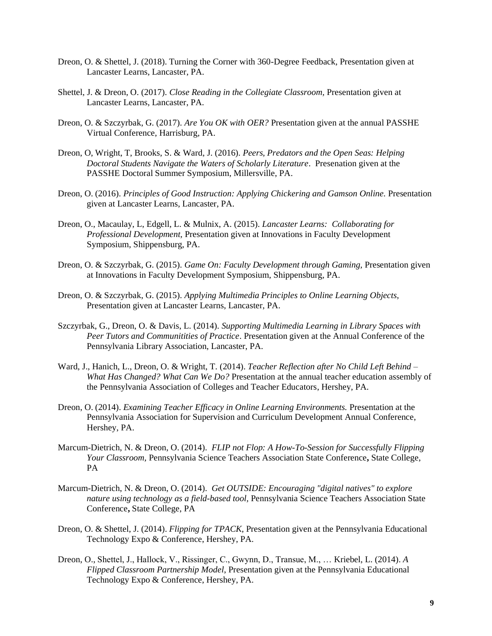- Dreon, O. & Shettel, J. (2018). Turning the Corner with 360-Degree Feedback, Presentation given at Lancaster Learns, Lancaster, PA.
- Shettel, J. & Dreon, O. (2017). *Close Reading in the Collegiate Classroom,* Presentation given at Lancaster Learns, Lancaster, PA.
- Dreon, O. & Szczyrbak, G. (2017). *Are You OK with OER?* Presentation given at the annual PASSHE Virtual Conference, Harrisburg, PA.
- Dreon, O, Wright, T, Brooks, S. & Ward, J. (2016). *Peers, Predators and the Open Seas: Helping Doctoral Students Navigate the Waters of Scholarly Literature*. Presenation given at the PASSHE Doctoral Summer Symposium, Millersville, PA.
- Dreon, O. (2016). *Principles of Good Instruction: Applying Chickering and Gamson Online.* Presentation given at Lancaster Learns, Lancaster, PA.
- Dreon, O., Macaulay, L, Edgell, L. & Mulnix, A. (2015). *Lancaster Learns: Collaborating for Professional Development,* Presentation given at Innovations in Faculty Development Symposium, Shippensburg, PA.
- Dreon, O. & Szczyrbak, G. (2015). *Game On: Faculty Development through Gaming,* Presentation given at Innovations in Faculty Development Symposium, Shippensburg, PA.
- Dreon, O. & Szczyrbak, G. (2015). *Applying Multimedia Principles to Online Learning Objects,*  Presentation given at Lancaster Learns, Lancaster, PA.
- Szczyrbak, G., Dreon, O. & Davis, L. (2014). *Supporting Multimedia Learning in Library Spaces with Peer Tutors and Communitities of Practice*. Presentation given at the Annual Conference of the Pennsylvania Library Association, Lancaster, PA.
- Ward, J., Hanich, L., Dreon, O. & Wright, T. (2014). *Teacher Reflection after No Child Left Behind – What Has Changed? What Can We Do?* Presentation at the annual teacher education assembly of the Pennsylvania Association of Colleges and Teacher Educators, Hershey, PA.
- Dreon, O. (2014). *Examining Teacher Efficacy in Online Learning Environments.* Presentation at the Pennsylvania Association for Supervision and Curriculum Development Annual Conference, Hershey, PA.
- Marcum-Dietrich, N. & Dreon, O. (2014). *FLIP not Flop: A How-To-Session for Successfully Flipping Your Classroom,* Pennsylvania Science Teachers Association State Conference**,** State College, PA
- Marcum-Dietrich, N. & Dreon, O. (2014). *Get OUTSIDE: Encouraging "digital natives" to explore nature using technology as a field-based tool,* Pennsylvania Science Teachers Association State Conference**,** State College, PA
- Dreon, O. & Shettel, J. (2014). *Flipping for TPACK*, Presentation given at the Pennsylvania Educational Technology Expo & Conference, Hershey, PA.
- Dreon, O., Shettel, J., Hallock, V., Rissinger, C., Gwynn, D., Transue, M., … Kriebel, L. (2014). *A Flipped Classroom Partnership Model*, Presentation given at the Pennsylvania Educational Technology Expo & Conference, Hershey, PA.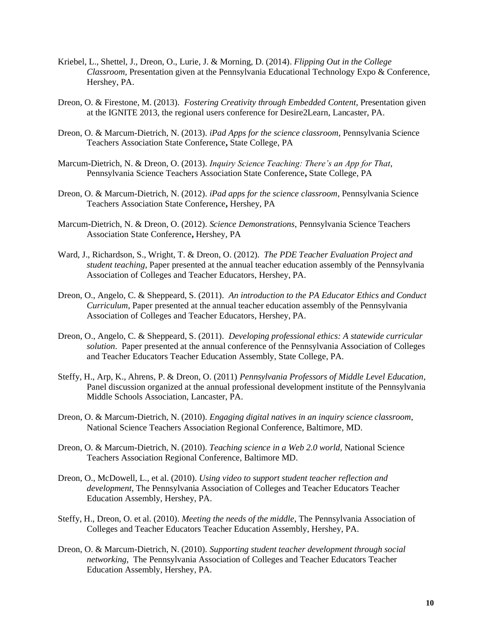- Kriebel, L., Shettel, J., Dreon, O., Lurie, J. & Morning, D. (2014). *Flipping Out in the College Classroom*, Presentation given at the Pennsylvania Educational Technology Expo & Conference, Hershey, PA.
- Dreon, O. & Firestone, M. (2013). *Fostering Creativity through Embedded Content*, Presentation given at the IGNITE 2013, the regional users conference for Desire2Learn, Lancaster, PA.
- Dreon, O. & Marcum-Dietrich, N. (2013). *iPad Apps for the science classroom*, Pennsylvania Science Teachers Association State Conference**,** State College, PA
- Marcum-Dietrich, N. & Dreon, O. (2013). *Inquiry Science Teaching: There's an App for That*, Pennsylvania Science Teachers Association State Conference**,** State College, PA
- Dreon, O. & Marcum-Dietrich, N. (2012). *iPad apps for the science classroom*, Pennsylvania Science Teachers Association State Conference**,** Hershey, PA
- Marcum-Dietrich, N. & Dreon, O. (2012). *Science Demonstrations*, Pennsylvania Science Teachers Association State Conference**,** Hershey, PA
- Ward, J., Richardson, S., Wright, T. & Dreon, O. (2012). *The PDE Teacher Evaluation Project and student teaching*, Paper presented at the annual teacher education assembly of the Pennsylvania Association of Colleges and Teacher Educators, Hershey, PA.
- Dreon, O., Angelo, C. & Sheppeard, S. (2011). *An introduction to the PA Educator Ethics and Conduct Curriculum*, Paper presented at the annual teacher education assembly of the Pennsylvania Association of Colleges and Teacher Educators, Hershey, PA.
- Dreon, O., Angelo, C. & Sheppeard, S. (2011). *Developing professional ethics: A statewide curricular solution*. Paper presented at the annual conference of the Pennsylvania Association of Colleges and Teacher Educators Teacher Education Assembly, State College, PA.
- Steffy, H., Arp, K., Ahrens, P. & Dreon, O. (2011) *Pennsylvania Professors of Middle Level Education*, Panel discussion organized at the annual professional development institute of the Pennsylvania Middle Schools Association, Lancaster, PA.
- Dreon, O. & Marcum-Dietrich, N. (2010). *Engaging digital natives in an inquiry science classroom*, National Science Teachers Association Regional Conference, Baltimore, MD.
- Dreon, O. & Marcum-Dietrich, N. (2010). *Teaching science in a Web 2.0 world*, National Science Teachers Association Regional Conference, Baltimore MD.
- Dreon, O., McDowell, L., et al. (2010). *Using video to support student teacher reflection and development*, The Pennsylvania Association of Colleges and Teacher Educators Teacher Education Assembly, Hershey, PA.
- Steffy, H., Dreon, O. et al. (2010). *Meeting the needs of the middle*, The Pennsylvania Association of Colleges and Teacher Educators Teacher Education Assembly, Hershey, PA.
- Dreon, O. & Marcum-Dietrich, N. (2010). *Supporting student teacher development through social networking*, The Pennsylvania Association of Colleges and Teacher Educators Teacher Education Assembly, Hershey, PA.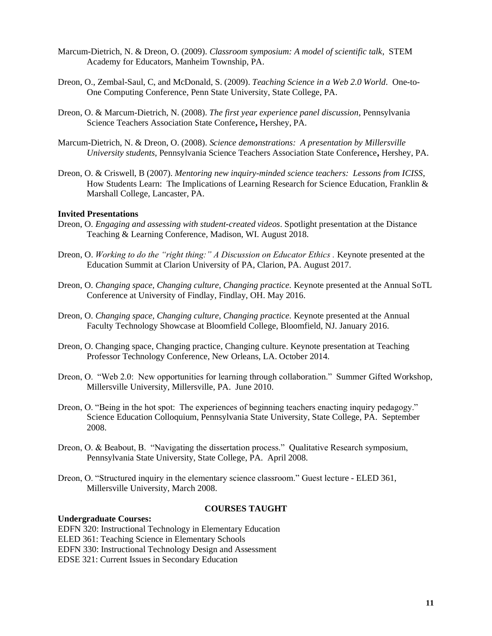- Marcum-Dietrich, N. & Dreon, O. (2009). *Classroom symposium: A model of scientific talk*, STEM Academy for Educators, Manheim Township, PA.
- Dreon, O., Zembal-Saul, C, and McDonald, S. (2009). *Teaching Science in a Web 2.0 World*. One-to-One Computing Conference, Penn State University, State College, PA.
- Dreon, O. & Marcum-Dietrich, N. (2008). *The first year experience panel discussion*, Pennsylvania Science Teachers Association State Conference**,** Hershey, PA.
- Marcum-Dietrich, N. & Dreon, O. (2008). *Science demonstrations: A presentation by Millersville University students*, Pennsylvania Science Teachers Association State Conference**,** Hershey, PA.
- Dreon, O. & Criswell, B (2007). *Mentoring new inquiry-minded science teachers: Lessons from ICISS*, How Students Learn: The Implications of Learning Research for Science Education, Franklin & Marshall College, Lancaster, PA.

#### **Invited Presentations**

- Dreon, O. *Engaging and assessing with student-created videos*. Spotlight presentation at the Distance Teaching & Learning Conference, Madison, WI. August 2018.
- Dreon, O. *Working to do the "right thing:" A Discussion on Educator Ethics .* Keynote presented at the Education Summit at Clarion University of PA, Clarion, PA. August 2017.
- Dreon, O. *Changing space, Changing culture, Changing practice.* Keynote presented at the Annual SoTL Conference at University of Findlay, Findlay, OH. May 2016.
- Dreon, O. *Changing space, Changing culture, Changing practice.* Keynote presented at the Annual Faculty Technology Showcase at Bloomfield College, Bloomfield, NJ. January 2016.
- Dreon, O. Changing space, Changing practice, Changing culture. Keynote presentation at Teaching Professor Technology Conference, New Orleans, LA. October 2014.
- Dreon, O. "Web 2.0: New opportunities for learning through collaboration." Summer Gifted Workshop, Millersville University, Millersville, PA. June 2010.
- Dreon, O. "Being in the hot spot: The experiences of beginning teachers enacting inquiry pedagogy." Science Education Colloquium, Pennsylvania State University, State College, PA. September 2008.
- Dreon, O. & Beabout, B. "Navigating the dissertation process." Qualitative Research symposium, Pennsylvania State University, State College, PA. April 2008.
- Dreon, O. "Structured inquiry in the elementary science classroom." Guest lecture ELED 361, Millersville University, March 2008.

#### **Undergraduate Courses:**

# **COURSES TAUGHT**

EDFN 320: Instructional Technology in Elementary Education

ELED 361: Teaching Science in Elementary Schools

EDFN 330: Instructional Technology Design and Assessment

EDSE 321: Current Issues in Secondary Education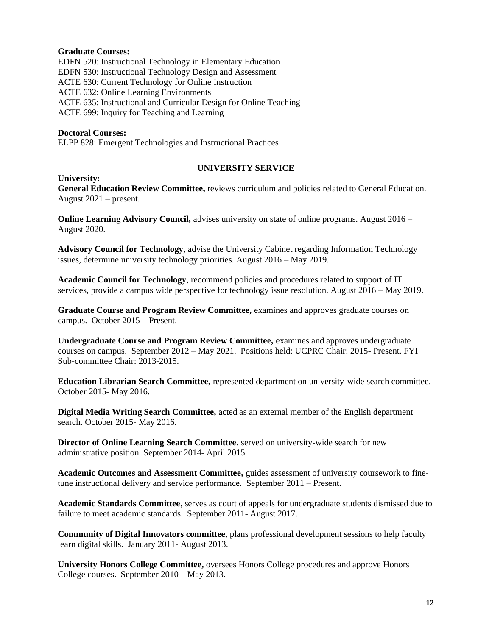### **Graduate Courses:**

EDFN 520: Instructional Technology in Elementary Education EDFN 530: Instructional Technology Design and Assessment ACTE 630: Current Technology for Online Instruction ACTE 632: Online Learning Environments ACTE 635: Instructional and Curricular Design for Online Teaching ACTE 699: Inquiry for Teaching and Learning

# **Doctoral Courses:**

ELPP 828: Emergent Technologies and Instructional Practices

### **University:**

# **UNIVERSITY SERVICE**

**General Education Review Committee,** reviews curriculum and policies related to General Education. August 2021 – present.

**Online Learning Advisory Council,** advises university on state of online programs. August 2016 – August 2020.

**Advisory Council for Technology,** advise the University Cabinet regarding Information Technology issues, determine university technology priorities. August 2016 – May 2019.

**Academic Council for Technology**, recommend policies and procedures related to support of IT services, provide a campus wide perspective for technology issue resolution. August 2016 – May 2019.

**Graduate Course and Program Review Committee,** examines and approves graduate courses on campus. October 2015 – Present.

**Undergraduate Course and Program Review Committee,** examines and approves undergraduate courses on campus. September 2012 – May 2021. Positions held: UCPRC Chair: 2015- Present. FYI Sub-committee Chair: 2013-2015.

**Education Librarian Search Committee,** represented department on university-wide search committee. October 2015- May 2016.

**Digital Media Writing Search Committee,** acted as an external member of the English department search. October 2015- May 2016.

**Director of Online Learning Search Committee**, served on university-wide search for new administrative position. September 2014- April 2015.

**Academic Outcomes and Assessment Committee,** guides assessment of university coursework to finetune instructional delivery and service performance. September 2011 – Present.

**Academic Standards Committee**, serves as court of appeals for undergraduate students dismissed due to failure to meet academic standards. September 2011- August 2017.

**Community of Digital Innovators committee,** plans professional development sessions to help faculty learn digital skills. January 2011- August 2013.

**University Honors College Committee,** oversees Honors College procedures and approve Honors College courses. September 2010 – May 2013.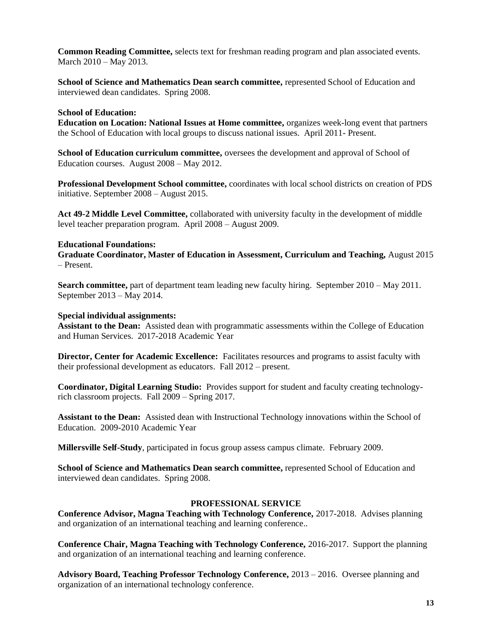**Common Reading Committee,** selects text for freshman reading program and plan associated events. March 2010 – May 2013.

**School of Science and Mathematics Dean search committee,** represented School of Education and interviewed dean candidates. Spring 2008.

# **School of Education:**

**Education on Location: National Issues at Home committee,** organizes week-long event that partners the School of Education with local groups to discuss national issues. April 2011- Present.

**School of Education curriculum committee,** oversees the development and approval of School of Education courses. August 2008 – May 2012.

**Professional Development School committee,** coordinates with local school districts on creation of PDS initiative. September 2008 – August 2015.

**Act 49-2 Middle Level Committee,** collaborated with university faculty in the development of middle level teacher preparation program. April 2008 – August 2009.

### **Educational Foundations:**

**Graduate Coordinator, Master of Education in Assessment, Curriculum and Teaching,** August 2015 – Present.

**Search committee,** part of department team leading new faculty hiring. September 2010 – May 2011. September 2013 – May 2014.

# **Special individual assignments:**

**Assistant to the Dean:** Assisted dean with programmatic assessments within the College of Education and Human Services. 2017-2018 Academic Year

**Director, Center for Academic Excellence:** Facilitates resources and programs to assist faculty with their professional development as educators. Fall 2012 – present.

**Coordinator, Digital Learning Studio:** Provides support for student and faculty creating technologyrich classroom projects. Fall 2009 – Spring 2017.

**Assistant to the Dean:** Assisted dean with Instructional Technology innovations within the School of Education. 2009-2010 Academic Year

**Millersville Self-Study**, participated in focus group assess campus climate. February 2009.

**School of Science and Mathematics Dean search committee,** represented School of Education and interviewed dean candidates. Spring 2008.

# **PROFESSIONAL SERVICE**

**Conference Advisor, Magna Teaching with Technology Conference,** 2017-2018. Advises planning and organization of an international teaching and learning conference..

**Conference Chair, Magna Teaching with Technology Conference,** 2016-2017. Support the planning and organization of an international teaching and learning conference.

**Advisory Board, Teaching Professor Technology Conference,** 2013 – 2016. Oversee planning and organization of an international technology conference.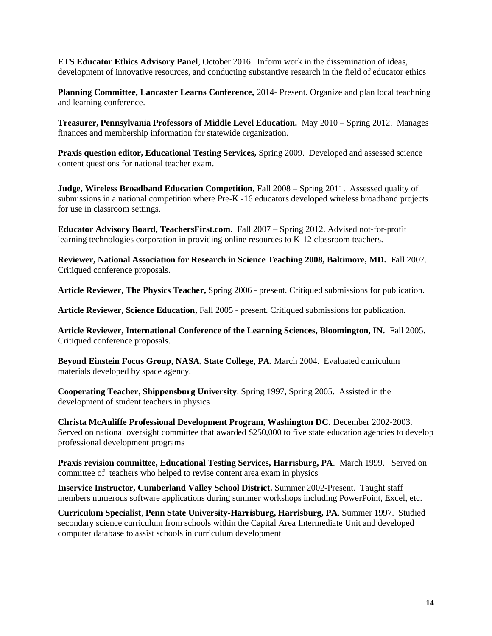**ETS Educator Ethics Advisory Panel**, October 2016. Inform work in the dissemination of ideas, development of innovative resources, and conducting substantive research in the field of educator ethics

**Planning Committee, Lancaster Learns Conference,** 2014- Present. Organize and plan local teachning and learning conference.

**Treasurer, Pennsylvania Professors of Middle Level Education.** May 2010 – Spring 2012. Manages finances and membership information for statewide organization.

**Praxis question editor, Educational Testing Services,** Spring 2009. Developed and assessed science content questions for national teacher exam.

**Judge, Wireless Broadband Education Competition, Fall 2008 – Spring 2011. Assessed quality of** submissions in a national competition where Pre-K -16 educators developed wireless broadband projects for use in classroom settings.

**Educator Advisory Board, TeachersFirst.com.** Fall 2007 – Spring 2012. Advised not-for-profit learning technologies corporation in providing online resources to K-12 classroom teachers.

**Reviewer, National Association for Research in Science Teaching 2008, Baltimore, MD.** Fall 2007. Critiqued conference proposals.

**Article Reviewer, The Physics Teacher,** Spring 2006 - present. Critiqued submissions for publication.

**Article Reviewer, Science Education,** Fall 2005 - present. Critiqued submissions for publication.

**Article Reviewer, International Conference of the Learning Sciences, Bloomington, IN.** Fall 2005. Critiqued conference proposals.

**Beyond Einstein Focus Group, NASA**, **State College, PA**. March 2004. Evaluated curriculum materials developed by space agency.

**Cooperating Teacher**, **Shippensburg University**. Spring 1997, Spring 2005. Assisted in the development of student teachers in physics

**Christa McAuliffe Professional Development Program, Washington DC.** December 2002-2003. Served on national oversight committee that awarded \$250,000 to five state education agencies to develop professional development programs

**Praxis revision committee, Educational Testing Services, Harrisburg, PA**. March 1999. Served on committee of teachers who helped to revise content area exam in physics

**Inservice Instructor, Cumberland Valley School District.** Summer 2002-Present. Taught staff members numerous software applications during summer workshops including PowerPoint, Excel, etc.

**Curriculum Specialist**, **Penn State University-Harrisburg, Harrisburg, PA**. Summer 1997. Studied secondary science curriculum from schools within the Capital Area Intermediate Unit and developed computer database to assist schools in curriculum development